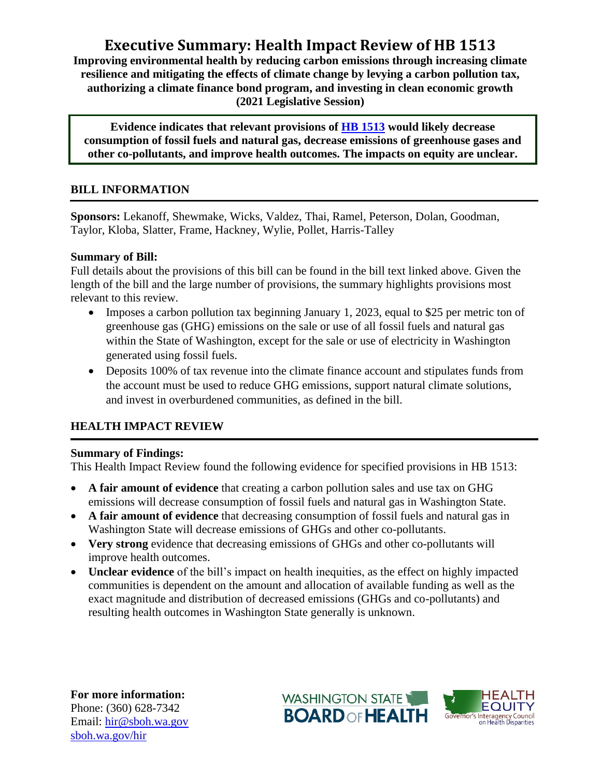# **Executive Summary: Health Impact Review of HB 1513**

**Improving environmental health by reducing carbon emissions through increasing climate resilience and mitigating the effects of climate change by levying a carbon pollution tax, authorizing a climate finance bond program, and investing in clean economic growth (2021 Legislative Session)**

**Evidence indicates that relevant provisions of [HB 1513](http://lawfilesext.leg.wa.gov/biennium/2021-22/Pdf/Bills/House%20Bills/1513.pdf?q=20210311143901) would likely decrease consumption of fossil fuels and natural gas, decrease emissions of greenhouse gases and other co-pollutants, and improve health outcomes. The impacts on equity are unclear.**

### **BILL INFORMATION**

**Sponsors:** Lekanoff, Shewmake, Wicks, Valdez, Thai, Ramel, Peterson, Dolan, Goodman, Taylor, Kloba, Slatter, Frame, Hackney, Wylie, Pollet, Harris-Talley

#### **Summary of Bill:**

Full details about the provisions of this bill can be found in the bill text linked above. Given the length of the bill and the large number of provisions, the summary highlights provisions most relevant to this review.

- Imposes a carbon pollution tax beginning January 1, 2023, equal to \$25 per metric ton of greenhouse gas (GHG) emissions on the sale or use of all fossil fuels and natural gas within the State of Washington, except for the sale or use of electricity in Washington generated using fossil fuels.
- Deposits 100% of tax revenue into the climate finance account and stipulates funds from the account must be used to reduce GHG emissions, support natural climate solutions, and invest in overburdened communities, as defined in the bill.

## **HEALTH IMPACT REVIEW**

#### **Summary of Findings:**

This Health Impact Review found the following evidence for specified provisions in HB 1513:

- **A fair amount of evidence** that creating a carbon pollution sales and use tax on GHG emissions will decrease consumption of fossil fuels and natural gas in Washington State.
- **A fair amount of evidence** that decreasing consumption of fossil fuels and natural gas in Washington State will decrease emissions of GHGs and other co-pollutants.
- **Very strong** evidence that decreasing emissions of GHGs and other co-pollutants will improve health outcomes.
- **Unclear evidence** of the bill's impact on health inequities, as the effect on highly impacted communities is dependent on the amount and allocation of available funding as well as the exact magnitude and distribution of decreased emissions (GHGs and co-pollutants) and resulting health outcomes in Washington State generally is unknown.

**For more information:** Phone: (360) 628-7342 Email: [hir@sboh.wa.gov](mailto:hir@sboh.wa.gov) [sboh.wa.gov/](http://sboh.wa.gov/)hir